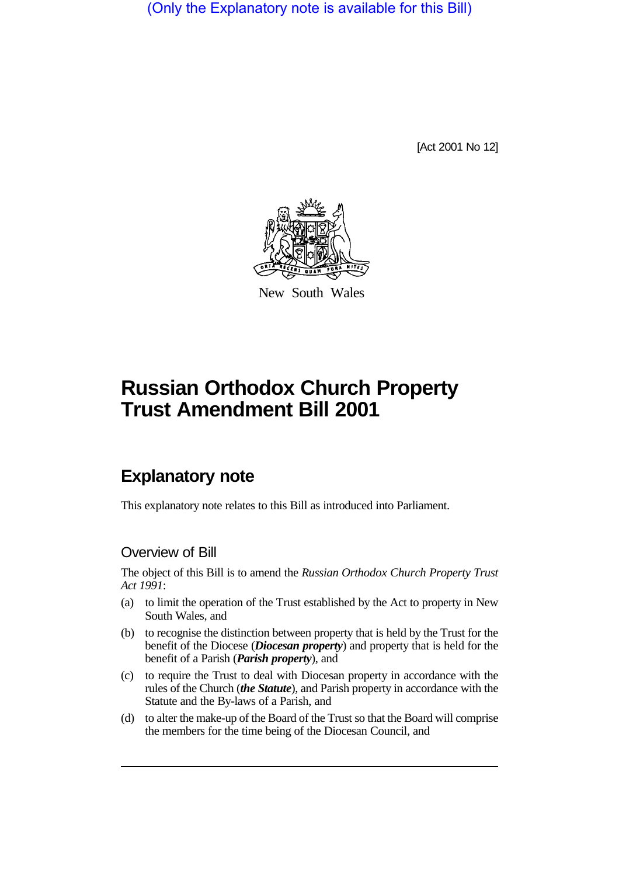(Only the Explanatory note is available for this Bill)

[Act 2001 No 12]



New South Wales

# **Russian Orthodox Church Property Trust Amendment Bill 2001**

## **Explanatory note**

This explanatory note relates to this Bill as introduced into Parliament.

## Overview of Bill

The object of this Bill is to amend the *Russian Orthodox Church Property Trust Act 1991*:

- (a) to limit the operation of the Trust established by the Act to property in New South Wales, and
- (b) to recognise the distinction between property that is held by the Trust for the benefit of the Diocese (*Diocesan property*) and property that is held for the benefit of a Parish (*Parish property*), and
- (c) to require the Trust to deal with Diocesan property in accordance with the rules of the Church (*the Statute*), and Parish property in accordance with the Statute and the By-laws of a Parish, and
- (d) to alter the make-up of the Board of the Trust so that the Board will comprise the members for the time being of the Diocesan Council, and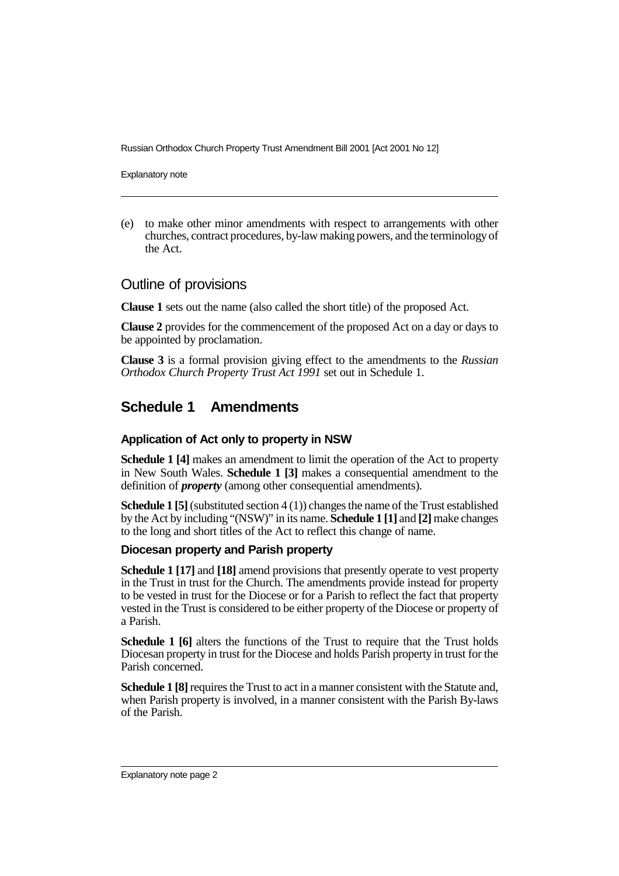Russian Orthodox Church Property Trust Amendment Bill 2001 [Act 2001 No 12]

Explanatory note

(e) to make other minor amendments with respect to arrangements with other churches, contract procedures, by-law making powers, and the terminology of the Act.

## Outline of provisions

**Clause 1** sets out the name (also called the short title) of the proposed Act.

**Clause 2** provides for the commencement of the proposed Act on a day or days to be appointed by proclamation.

**Clause 3** is a formal provision giving effect to the amendments to the *Russian Orthodox Church Property Trust Act 1991* set out in Schedule 1.

## **Schedule 1 Amendments**

#### **Application of Act only to property in NSW**

**Schedule 1 [4]** makes an amendment to limit the operation of the Act to property in New South Wales. **Schedule 1 [3]** makes a consequential amendment to the definition of *property* (among other consequential amendments).

**Schedule 1 [5]** (substituted section 4 (1)) changes the name of the Trust established by the Act by including "(NSW)" in its name. **Schedule 1 [1]** and **[2]** make changes to the long and short titles of the Act to reflect this change of name.

#### **Diocesan property and Parish property**

**Schedule 1 [17]** and **[18]** amend provisions that presently operate to vest property in the Trust in trust for the Church. The amendments provide instead for property to be vested in trust for the Diocese or for a Parish to reflect the fact that property vested in the Trust is considered to be either property of the Diocese or property of a Parish.

**Schedule 1 [6]** alters the functions of the Trust to require that the Trust holds Diocesan property in trust for the Diocese and holds Parish property in trust for the Parish concerned.

**Schedule 1 [8]** requires the Trust to act in a manner consistent with the Statute and, when Parish property is involved, in a manner consistent with the Parish By-laws of the Parish.